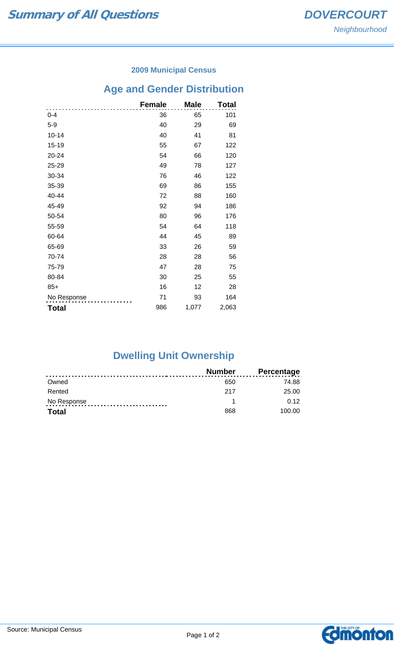### **2009 Municipal Census**

## **Age and Gender Distribution**

|              | <b>Female</b> | <b>Male</b> | Total |
|--------------|---------------|-------------|-------|
| $0 - 4$      | 36            | 65          | 101   |
| $5-9$        | 40            | 29          | 69    |
| $10 - 14$    | 40            | 41          | 81    |
| 15-19        | 55            | 67          | 122   |
| 20-24        | 54            | 66          | 120   |
| 25-29        | 49            | 78          | 127   |
| 30-34        | 76            | 46          | 122   |
| 35-39        | 69            | 86          | 155   |
| 40-44        | 72            | 88          | 160   |
| 45-49        | 92            | 94          | 186   |
| 50-54        | 80            | 96          | 176   |
| 55-59        | 54            | 64          | 118   |
| 60-64        | 44            | 45          | 89    |
| 65-69        | 33            | 26          | 59    |
| 70-74        | 28            | 28          | 56    |
| 75-79        | 47            | 28          | 75    |
| 80-84        | 30            | 25          | 55    |
| $85+$        | 16            | 12          | 28    |
| No Response  | 71            | 93          | 164   |
| <b>Total</b> | 986           | 1,077       | 2,063 |

# **Dwelling Unit Ownership**

|              | <b>Number</b> | <b>Percentage</b> |
|--------------|---------------|-------------------|
| Owned        | 650           | 74.88             |
| Rented       | 217           | 25.00             |
| No Response  |               | 0.12              |
| <b>Total</b> | 868           | 100.00            |